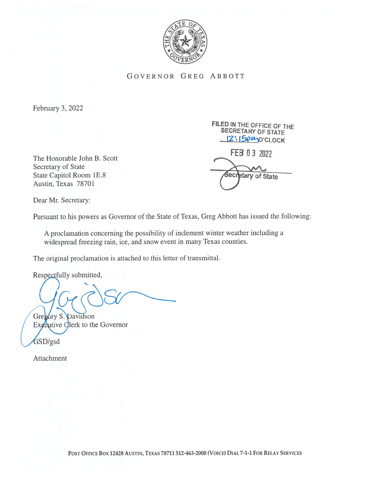

. GOVERNOR GREG ABBOTT

February 3, 2022

Secretary of State State Capitol Room 1E.8 Austin, Texas 78701

FiLED IN THE OFFICE OF THE SECRETARY OF STATE 12:15pmo'CLOCK The Honorable John B. Scott **FEB 0 3 2022** 

tary of State

iec

Dear Mr. Secretary:

Pursuant to his powers as Governor of the State of Texas, Greg Abbott has issued the following:

A proclamation concerning the possibility of inclement winter weather including a widespread freezing rain, ice, and snow event in many Texas counties.

The original proclamation is attached to this letter of transmittal.

Respectfully submitted,

Gregory S. Davidson Executive Clerk to the Governor

GSD/gsd

Attachment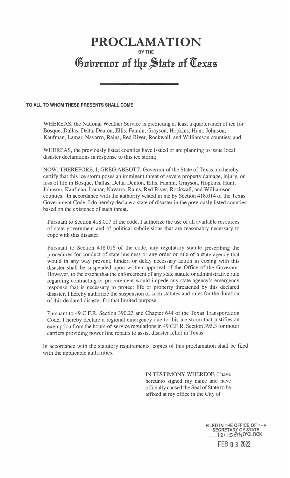## PROCLAMATION BY THE Governor of the State of Texas

## TO ALL TO WHOM THESE PRESENTS SHALL COME:

WHEREAS, the National Weather Service is predicting at least a quarter-inch of ice for Bosque, Dallas, Delta, Denton, Ellis, Fannin, Grayson, Hopkins, Hunt, Johnson, Kaufman, Lamar, Navarro, Rains, Red River, Rockwall, and Williamson counties; and

WHEREAS, the previously listed counties have issued or are planning to issue local disaster declarations in response to this ice storm;

NOW, THEREFORE, I, GREG ABBOTT, Governor of the State of Texas, do hereby certify that this ice storm poses an imminent threat of severe property damage, injury, or loss of life in Bosque, Dallas, Delta, Denton, Ellis, Fannin, Grayson, Hopkins, Hunt, Johnson, Kaufman, Lamar, Navarro, Rains, Red River, Rockwall, and Williamson counties. In accordance with the authority vested in me by Section 418.014 of the Texas Government Code, I do hereby declare a state of disaster in the previously listed counties based on the existence of such threat.

Pursuant to Section 418.017 of the code, I authorize the use of all available resources of state government and of political subdivisions that are reasonably necessary to cope with this disaster.

Pursuant to Section 418.016 of the code, any regulatory statute prescribing the procedures for conduct of state business or any order or rule of a state agency that would in any way prevent, hinder, or delay necessary action in coping with this disaster shall be suspended upon written approval of the Office of the Governor. However, to the extent that the enforcement of any state statute or administrative rule regarding contracting or procurement would impede any state agency's emergency response that is necessary to protect life or property threatened by this declared disaster, I hereby authorize the suspension of such statutes and rules for the duration of this declared disaster for that limited purpose.

Pursuant to 49 C.F.R. Section 390.23 and Chapter 644 of the Texas Transportation Code, I hereby declare a regional emergency due to this ice storm that justifies an exemption from the hours-of-service regulations in 49 C.F.R. Section 395.3 for motor carriers providing power line repairs to assist disaster relief in Texas.

In accordance with the statutory requirements, copies of this proclamation shall be filed with the applicable authorities.

.

IN TESTIMONY WHEREOF, I have hereunto signed my name and have officially caused the Seal of State to be affixed at my office in the City of

> FILED IN THE OFFiCE OF THE SECRETARY OF STATE<br>12:15 PM O'CLOCK **FEB 0 3 2022**